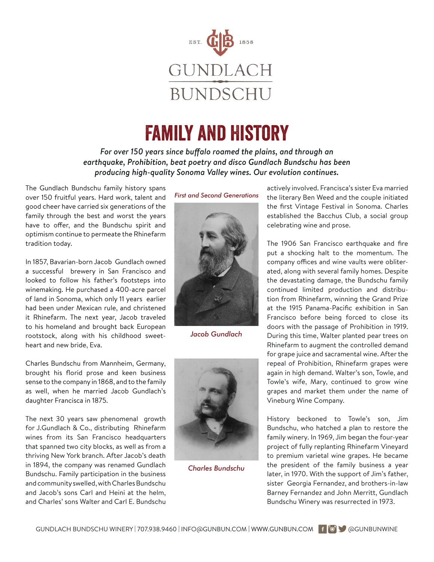

## Family and History

*For over 150 years since buffalo roamed the plains, and through an earthquake, Prohibition, beat poetry and disco Gundlach Bundschu has been producing high-quality Sonoma Valley wines. Our evolution continues.*

The Gundlach Bundschu family history spans over 150 fruitful years. Hard work, talent and good cheer have carried six generations of the family through the best and worst the years have to offer, and the Bundschu spirit and optimism continue to permeate the Rhinefarm tradition today.

In 1857, Bavarian-born Jacob Gundlach owned a successful brewery in San Francisco and looked to follow his father's footsteps into winemaking. He purchased a 400-acre parcel of land in Sonoma, which only 11 years earlier had been under Mexican rule, and christened it Rhinefarm. The next year, Jacob traveled to his homeland and brought back European rootstock, along with his childhood sweetheart and new bride, Eva.

Charles Bundschu from Mannheim, Germany, brought his florid prose and keen business sense to the company in 1868, and to the family as well, when he married Jacob Gundlach's daughter Francisca in 1875.

The next 30 years saw phenomenal growth for J.Gundlach & Co., distributing Rhinefarm wines from its San Francisco headquarters that spanned two city blocks, as well as from a thriving New York branch. After Jacob's death in 1894, the company was renamed Gundlach Bundschu. Family participation in the business and community swelled, with Charles Bundschu and Jacob's sons Carl and Heini at the helm, and Charles' sons Walter and Carl E. Bundschu

*First and Second Generations*



*Jacob Gundlach*



*Charles Bundschu*

actively involved. Francisca's sister Eva married the literary Ben Weed and the couple initiated the first Vintage Festival in Sonoma. Charles established the Bacchus Club, a social group celebrating wine and prose.

The 1906 San Francisco earthquake and fire put a shocking halt to the momentum. The company offices and wine vaults were obliterated, along with several family homes. Despite the devastating damage, the Bundschu family continued limited production and distribution from Rhinefarm, winning the Grand Prize at the 1915 Panama-Pacific exhibition in San Francisco before being forced to close its doors with the passage of Prohibition in 1919. During this time, Walter planted pear trees on Rhinefarm to augment the controlled demand for grape juice and sacramental wine. After the repeal of Prohibition, Rhinefarm grapes were again in high demand. Walter's son, Towle, and Towle's wife, Mary, continued to grow wine grapes and market them under the name of Vineburg Wine Company.

History beckoned to Towle's son, Jim Bundschu, who hatched a plan to restore the family winery. In 1969, Jim began the four-year project of fully replanting Rhinefarm Vineyard to premium varietal wine grapes. He became the president of the family business a year later, in 1970. With the support of Jim's father, sister Georgia Fernandez, and brothers-in-law Barney Fernandez and John Merritt, Gundlach Bundschu Winery was resurrected in 1973.